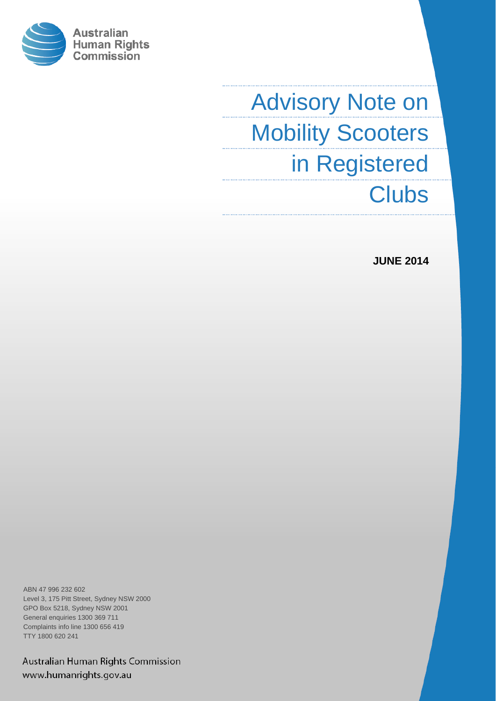

Advisory Note on **Mobility Scooters** in Registered **Clubs** 

**JUNE 2014**

ABN 47 996 232 602 Level 3, 175 Pitt Street, Sydney NSW 2000 GPO Box 5218, Sydney NSW 2001 General enquiries 1300 369 711 Complaints info line 1300 656 419 TTY 1800 620 241

Australian Human Rights Commission www.humanrights.gov.au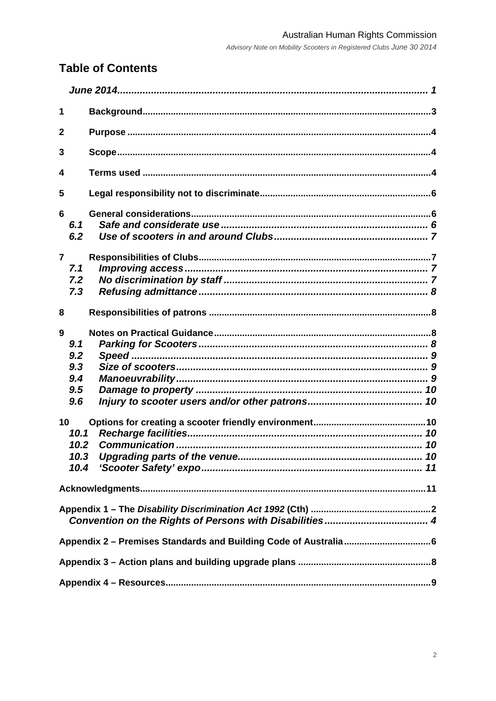Advisory Note on Mobility Scooters in Registered Clubs June 30 2014

# **Table of Contents**

| 1                |                                        |  |
|------------------|----------------------------------------|--|
| $\mathbf{2}$     |                                        |  |
| 3                |                                        |  |
| $\boldsymbol{4}$ |                                        |  |
| 5                |                                        |  |
| 6                | 6.1<br>6.2                             |  |
| $\overline{7}$   | 7.1<br>7.2<br>7.3                      |  |
| 8                |                                        |  |
| 9                | 9.1<br>9.2<br>9.3<br>9.4<br>9.5<br>9.6 |  |
| 10 <sup>°</sup>  | 10.1<br>10.2                           |  |
|                  |                                        |  |
|                  |                                        |  |
|                  |                                        |  |
|                  |                                        |  |
|                  |                                        |  |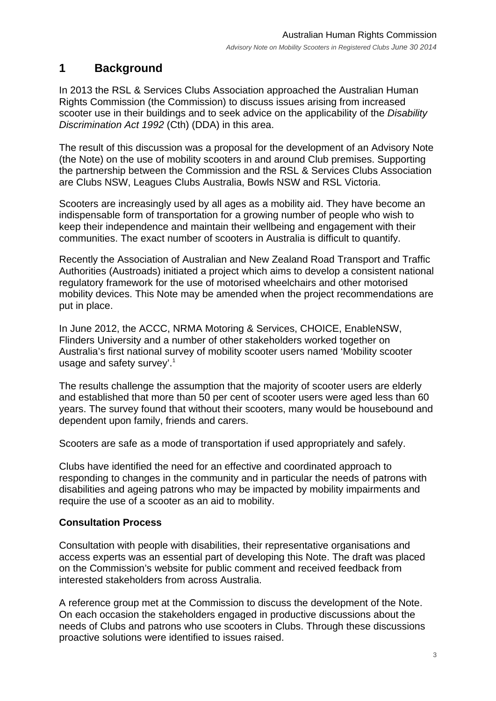# **1 Background**

In 2013 the RSL & Services Clubs Association approached the Australian Human Rights Commission (the Commission) to discuss issues arising from increased scooter use in their buildings and to seek advice on the applicability of the *Disability Discrimination Act 1992* (Cth) (DDA) in this area.

The result of this discussion was a proposal for the development of an Advisory Note (the Note) on the use of mobility scooters in and around Club premises. Supporting the partnership between the Commission and the RSL & Services Clubs Association are Clubs NSW, Leagues Clubs Australia, Bowls NSW and RSL Victoria.

Scooters are increasingly used by all ages as a mobility aid. They have become an indispensable form of transportation for a growing number of people who wish to keep their independence and maintain their wellbeing and engagement with their communities. The exact number of scooters in Australia is difficult to quantify.

Recently the Association of Australian and New Zealand Road Transport and Traffic Authorities (Austroads) initiated a project which aims to develop a consistent national regulatory framework for the use of motorised wheelchairs and other motorised mobility devices. This Note may be amended when the project recommendations are put in place.

In June 2012, the ACCC, NRMA Motoring & Services, CHOICE, EnableNSW, Flinders University and a number of other stakeholders worked together on Australia's first national survey of mobility scooter users named 'Mobility scooter usage and safety survey'.<sup>1</sup>

The results challenge the assumption that the majority of scooter users are elderly and established that more than 50 per cent of scooter users were aged less than 60 years. The survey found that without their scooters, many would be housebound and dependent upon family, friends and carers.

Scooters are safe as a mode of transportation if used appropriately and safely.

Clubs have identified the need for an effective and coordinated approach to responding to changes in the community and in particular the needs of patrons with disabilities and ageing patrons who may be impacted by mobility impairments and require the use of a scooter as an aid to mobility.

#### **Consultation Process**

Consultation with people with disabilities, their representative organisations and access experts was an essential part of developing this Note. The draft was placed on the Commission's website for public comment and received feedback from interested stakeholders from across Australia.

A reference group met at the Commission to discuss the development of the Note. On each occasion the stakeholders engaged in productive discussions about the needs of Clubs and patrons who use scooters in Clubs. Through these discussions proactive solutions were identified to issues raised.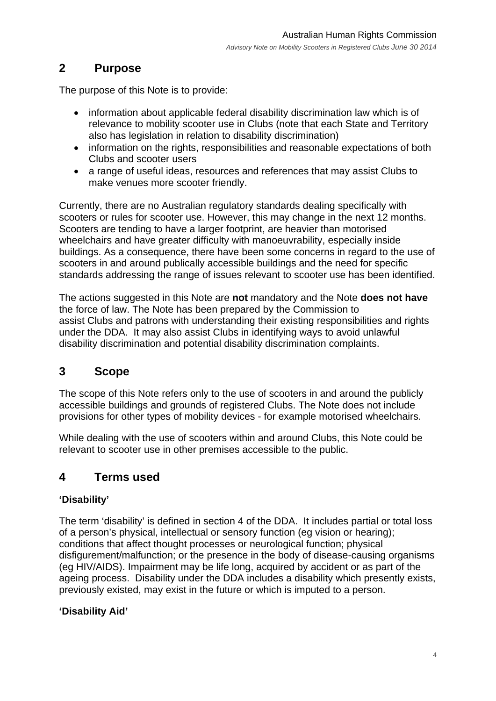# **2 Purpose**

The purpose of this Note is to provide:

- information about applicable federal disability discrimination law which is of relevance to mobility scooter use in Clubs (note that each State and Territory also has legislation in relation to disability discrimination)
- information on the rights, responsibilities and reasonable expectations of both Clubs and scooter users
- a range of useful ideas, resources and references that may assist Clubs to make venues more scooter friendly.

Currently, there are no Australian regulatory standards dealing specifically with scooters or rules for scooter use. However, this may change in the next 12 months. Scooters are tending to have a larger footprint, are heavier than motorised wheelchairs and have greater difficulty with manoeuvrability, especially inside buildings. As a consequence, there have been some concerns in regard to the use of scooters in and around publically accessible buildings and the need for specific standards addressing the range of issues relevant to scooter use has been identified.

The actions suggested in this Note are **not** mandatory and the Note **does not have** the force of law. The Note has been prepared by the Commission to assist Clubs and patrons with understanding their existing responsibilities and rights under the DDA. It may also assist Clubs in identifying ways to avoid unlawful disability discrimination and potential disability discrimination complaints.

## **3 Scope**

The scope of this Note refers only to the use of scooters in and around the publicly accessible buildings and grounds of registered Clubs. The Note does not include provisions for other types of mobility devices - for example motorised wheelchairs.

While dealing with the use of scooters within and around Clubs, this Note could be relevant to scooter use in other premises accessible to the public.

## **4 Terms used**

### **'Disability'**

The term 'disability' is defined in section 4 of the DDA. It includes partial or total loss of a person's physical, intellectual or sensory function (eg vision or hearing); conditions that affect thought processes or neurological function; physical disfigurement/malfunction; or the presence in the body of disease-causing organisms (eg HIV/AIDS). Impairment may be life long, acquired by accident or as part of the ageing process. Disability under the DDA includes a disability which presently exists, previously existed, may exist in the future or which is imputed to a person.

#### **'Disability Aid'**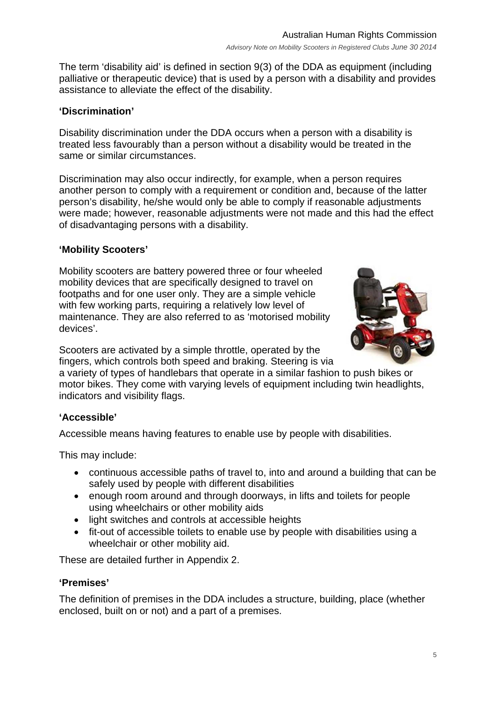The term 'disability aid' is defined in section 9(3) of the DDA as equipment (including palliative or therapeutic device) that is used by a person with a disability and provides assistance to alleviate the effect of the disability.

#### **'Discrimination'**

Disability discrimination under the DDA occurs when a person with a disability is treated less favourably than a person without a disability would be treated in the same or similar circumstances.

Discrimination may also occur indirectly, for example, when a person requires another person to comply with a requirement or condition and, because of the latter person's disability, he/she would only be able to comply if reasonable adjustments were made; however, reasonable adjustments were not made and this had the effect of disadvantaging persons with a disability.

#### **'Mobility Scooters'**

Mobility scooters are battery powered three or four wheeled mobility devices that are specifically designed to travel on footpaths and for one user only. They are a simple vehicle with few working parts, requiring a relatively low level of maintenance. They are also referred to as 'motorised mobility devices'.



Scooters are activated by a simple throttle, operated by the fingers, which controls both speed and braking. Steering is via

a variety of types of handlebars that operate in a similar fashion to push bikes or motor bikes. They come with varying levels of equipment including twin headlights, indicators and visibility flags.

#### **'Accessible'**

Accessible means having features to enable use by people with disabilities.

This may include:

- continuous accessible paths of travel to, into and around a building that can be safely used by people with different disabilities
- enough room around and through doorways, in lifts and toilets for people using wheelchairs or other mobility aids
- light switches and controls at accessible heights
- fit-out of accessible toilets to enable use by people with disabilities using a wheelchair or other mobility aid.

These are detailed further in Appendix 2.

#### **'Premises'**

The definition of premises in the DDA includes a structure, building, place (whether enclosed, built on or not) and a part of a premises.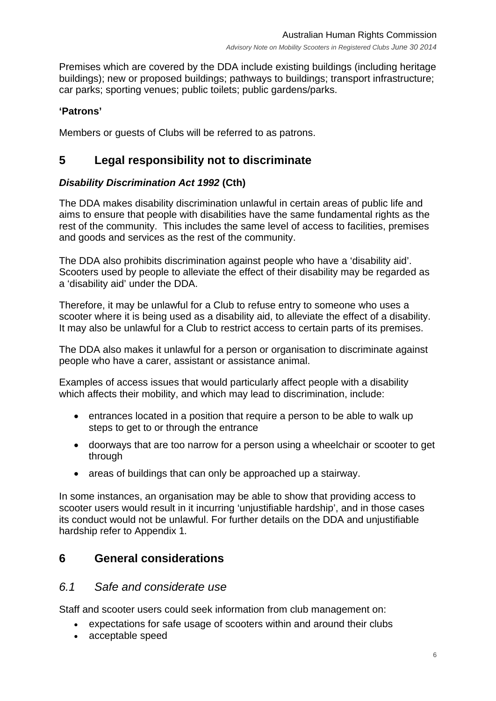Premises which are covered by the DDA include existing buildings (including heritage buildings); new or proposed buildings; pathways to buildings; transport infrastructure; car parks; sporting venues; public toilets; public gardens/parks.

### **'Patrons'**

Members or guests of Clubs will be referred to as patrons.

# **5 Legal responsibility not to discriminate**

#### *Disability Discrimination Act 1992* **(Cth)**

The DDA makes disability discrimination unlawful in certain areas of public life and aims to ensure that people with disabilities have the same fundamental rights as the rest of the community. This includes the same level of access to facilities, premises and goods and services as the rest of the community.

The DDA also prohibits discrimination against people who have a 'disability aid'. Scooters used by people to alleviate the effect of their disability may be regarded as a 'disability aid' under the DDA.

Therefore, it may be unlawful for a Club to refuse entry to someone who uses a scooter where it is being used as a disability aid, to alleviate the effect of a disability. It may also be unlawful for a Club to restrict access to certain parts of its premises.

The DDA also makes it unlawful for a person or organisation to discriminate against people who have a carer, assistant or assistance animal.

Examples of access issues that would particularly affect people with a disability which affects their mobility, and which may lead to discrimination, include:

- entrances located in a position that require a person to be able to walk up steps to get to or through the entrance
- doorways that are too narrow for a person using a wheelchair or scooter to get through
- areas of buildings that can only be approached up a stairway.

In some instances, an organisation may be able to show that providing access to scooter users would result in it incurring 'unjustifiable hardship', and in those cases its conduct would not be unlawful. For further details on the DDA and unjustifiable hardship refer to Appendix 1*.*

## **6 General considerations**

#### *6.1 Safe and considerate use*

Staff and scooter users could seek information from club management on:

- expectations for safe usage of scooters within and around their clubs
- acceptable speed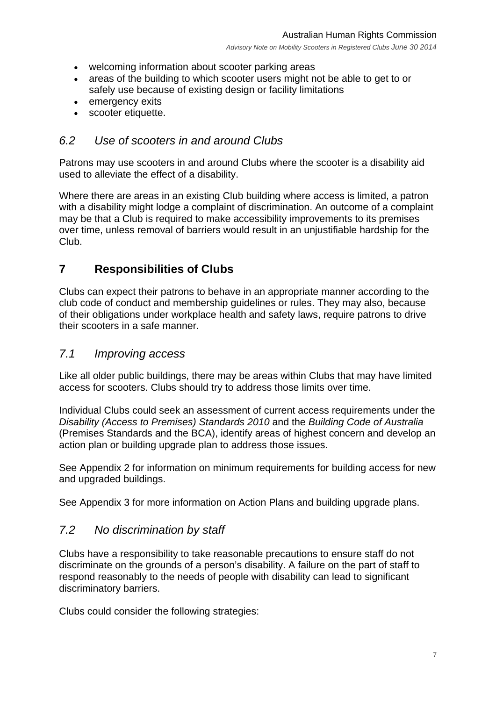- welcoming information about scooter parking areas
- areas of the building to which scooter users might not be able to get to or safely use because of existing design or facility limitations
- emergency exits
- scooter etiquette.

### *6.2 Use of scooters in and around Clubs*

Patrons may use scooters in and around Clubs where the scooter is a disability aid used to alleviate the effect of a disability.

Where there are areas in an existing Club building where access is limited, a patron with a disability might lodge a complaint of discrimination. An outcome of a complaint may be that a Club is required to make accessibility improvements to its premises over time, unless removal of barriers would result in an unjustifiable hardship for the Club.

## **7 Responsibilities of Clubs**

Clubs can expect their patrons to behave in an appropriate manner according to the club code of conduct and membership guidelines or rules. They may also, because of their obligations under workplace health and safety laws, require patrons to drive their scooters in a safe manner.

### *7.1 Improving access*

Like all older public buildings, there may be areas within Clubs that may have limited access for scooters. Clubs should try to address those limits over time.

Individual Clubs could seek an assessment of current access requirements under the *Disability (Access to Premises) Standards 2010* and the *Building Code of Australia*  (Premises Standards and the BCA), identify areas of highest concern and develop an action plan or building upgrade plan to address those issues.

See Appendix 2 for information on minimum requirements for building access for new and upgraded buildings.

See Appendix 3 for more information on Action Plans and building upgrade plans.

### *7.2 No discrimination by staff*

Clubs have a responsibility to take reasonable precautions to ensure staff do not discriminate on the grounds of a person's disability. A failure on the part of staff to respond reasonably to the needs of people with disability can lead to significant discriminatory barriers.

Clubs could consider the following strategies: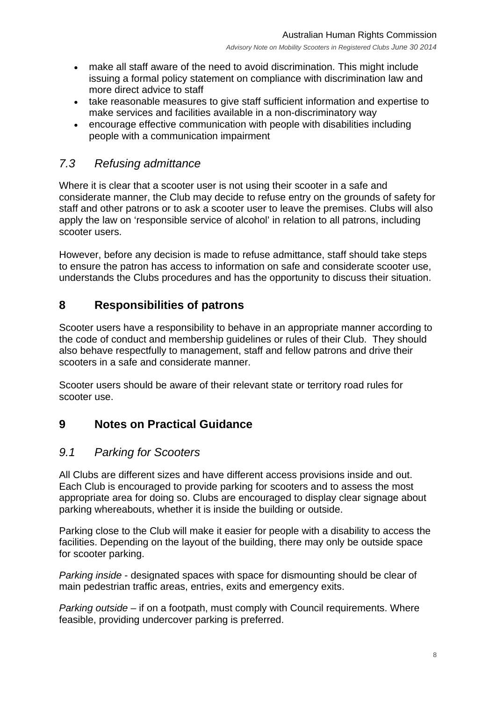- make all staff aware of the need to avoid discrimination. This might include issuing a formal policy statement on compliance with discrimination law and more direct advice to staff
- take reasonable measures to give staff sufficient information and expertise to make services and facilities available in a non-discriminatory way
- encourage effective communication with people with disabilities including people with a communication impairment

# *7.3 Refusing admittance*

Where it is clear that a scooter user is not using their scooter in a safe and considerate manner, the Club may decide to refuse entry on the grounds of safety for staff and other patrons or to ask a scooter user to leave the premises. Clubs will also apply the law on 'responsible service of alcohol' in relation to all patrons, including scooter users.

However, before any decision is made to refuse admittance, staff should take steps to ensure the patron has access to information on safe and considerate scooter use, understands the Clubs procedures and has the opportunity to discuss their situation.

## **8 Responsibilities of patrons**

Scooter users have a responsibility to behave in an appropriate manner according to the code of conduct and membership guidelines or rules of their Club. They should also behave respectfully to management, staff and fellow patrons and drive their scooters in a safe and considerate manner.

Scooter users should be aware of their relevant state or territory road rules for scooter use.

## **9 Notes on Practical Guidance**

## *9.1 Parking for Scooters*

All Clubs are different sizes and have different access provisions inside and out. Each Club is encouraged to provide parking for scooters and to assess the most appropriate area for doing so. Clubs are encouraged to display clear signage about parking whereabouts, whether it is inside the building or outside.

Parking close to the Club will make it easier for people with a disability to access the facilities. Depending on the layout of the building, there may only be outside space for scooter parking.

*Parking inside* - designated spaces with space for dismounting should be clear of main pedestrian traffic areas, entries, exits and emergency exits.

*Parking outside* – if on a footpath, must comply with Council requirements. Where feasible, providing undercover parking is preferred.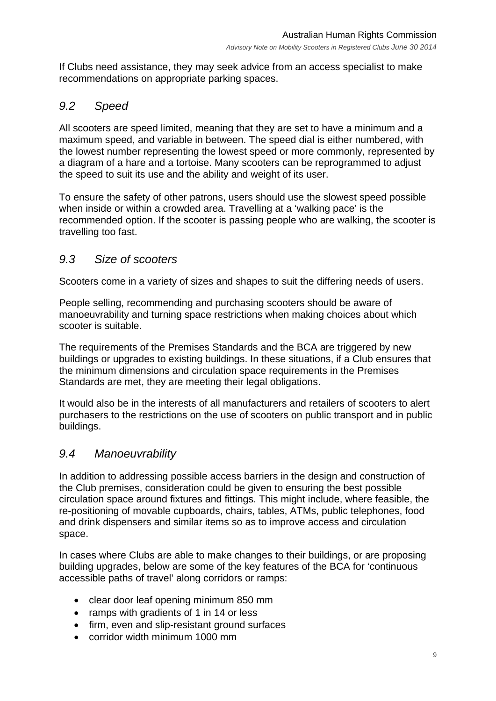If Clubs need assistance, they may seek advice from an access specialist to make recommendations on appropriate parking spaces.

# *9.2 Speed*

All scooters are speed limited, meaning that they are set to have a minimum and a maximum speed, and variable in between. The speed dial is either numbered, with the lowest number representing the lowest speed or more commonly, represented by a diagram of a hare and a tortoise. Many scooters can be reprogrammed to adjust the speed to suit its use and the ability and weight of its user.

To ensure the safety of other patrons, users should use the slowest speed possible when inside or within a crowded area. Travelling at a 'walking pace' is the recommended option. If the scooter is passing people who are walking, the scooter is travelling too fast.

## *9.3 Size of scooters*

Scooters come in a variety of sizes and shapes to suit the differing needs of users.

People selling, recommending and purchasing scooters should be aware of manoeuvrability and turning space restrictions when making choices about which scooter is suitable.

The requirements of the Premises Standards and the BCA are triggered by new buildings or upgrades to existing buildings. In these situations, if a Club ensures that the minimum dimensions and circulation space requirements in the Premises Standards are met, they are meeting their legal obligations.

It would also be in the interests of all manufacturers and retailers of scooters to alert purchasers to the restrictions on the use of scooters on public transport and in public buildings.

## *9.4 Manoeuvrability*

In addition to addressing possible access barriers in the design and construction of the Club premises, consideration could be given to ensuring the best possible circulation space around fixtures and fittings. This might include, where feasible, the re-positioning of movable cupboards, chairs, tables, ATMs, public telephones, food and drink dispensers and similar items so as to improve access and circulation space.

In cases where Clubs are able to make changes to their buildings, or are proposing building upgrades, below are some of the key features of the BCA for 'continuous accessible paths of travel' along corridors or ramps:

- clear door leaf opening minimum 850 mm
- ramps with gradients of 1 in 14 or less
- firm, even and slip-resistant ground surfaces
- corridor width minimum 1000 mm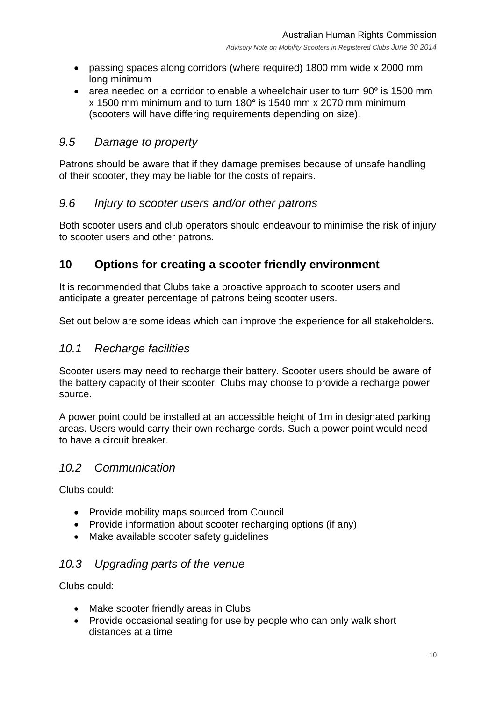- passing spaces along corridors (where required) 1800 mm wide x 2000 mm long minimum
- area needed on a corridor to enable a wheelchair user to turn 90**°** is 1500 mm x 1500 mm minimum and to turn 180**°** is 1540 mm x 2070 mm minimum (scooters will have differing requirements depending on size).

## *9.5 Damage to property*

Patrons should be aware that if they damage premises because of unsafe handling of their scooter, they may be liable for the costs of repairs.

### *9.6 Injury to scooter users and/or other patrons*

Both scooter users and club operators should endeavour to minimise the risk of injury to scooter users and other patrons.

### **10 Options for creating a scooter friendly environment**

It is recommended that Clubs take a proactive approach to scooter users and anticipate a greater percentage of patrons being scooter users.

Set out below are some ideas which can improve the experience for all stakeholders.

### *10.1 Recharge facilities*

Scooter users may need to recharge their battery. Scooter users should be aware of the battery capacity of their scooter. Clubs may choose to provide a recharge power source.

A power point could be installed at an accessible height of 1m in designated parking areas. Users would carry their own recharge cords. Such a power point would need to have a circuit breaker.

#### *10.2 Communication*

Clubs could:

- Provide mobility maps sourced from Council
- Provide information about scooter recharging options (if any)
- Make available scooter safety guidelines

### *10.3 Upgrading parts of the venue*

Clubs could:

- Make scooter friendly areas in Clubs
- Provide occasional seating for use by people who can only walk short distances at a time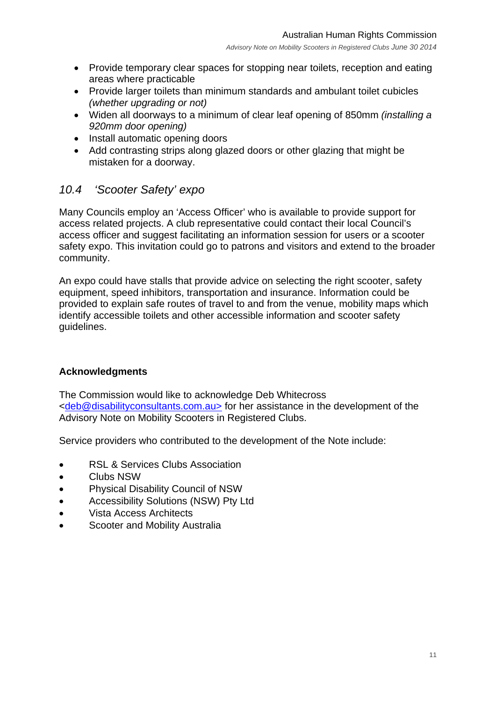- Provide temporary clear spaces for stopping near toilets, reception and eating areas where practicable
- Provide larger toilets than minimum standards and ambulant toilet cubicles *(whether upgrading or not)*
- Widen all doorways to a minimum of clear leaf opening of 850mm *(installing a 920mm door opening)*
- Install automatic opening doors
- Add contrasting strips along glazed doors or other glazing that might be mistaken for a doorway.

### *10.4 'Scooter Safety' expo*

Many Councils employ an 'Access Officer' who is available to provide support for access related projects. A club representative could contact their local Council's access officer and suggest facilitating an information session for users or a scooter safety expo. This invitation could go to patrons and visitors and extend to the broader community.

An expo could have stalls that provide advice on selecting the right scooter, safety equipment, speed inhibitors, transportation and insurance. Information could be provided to explain safe routes of travel to and from the venue, mobility maps which identify accessible toilets and other accessible information and scooter safety guidelines.

#### **Acknowledgments**

The Commission would like to acknowledge Deb Whitecross <deb@disabilityconsultants.com.au> for her assistance in the development of the Advisory Note on Mobility Scooters in Registered Clubs.

Service providers who contributed to the development of the Note include:

- RSL & Services Clubs Association
- Clubs NSW
- Physical Disability Council of NSW
- Accessibility Solutions (NSW) Pty Ltd
- Vista Access Architects
- Scooter and Mobility Australia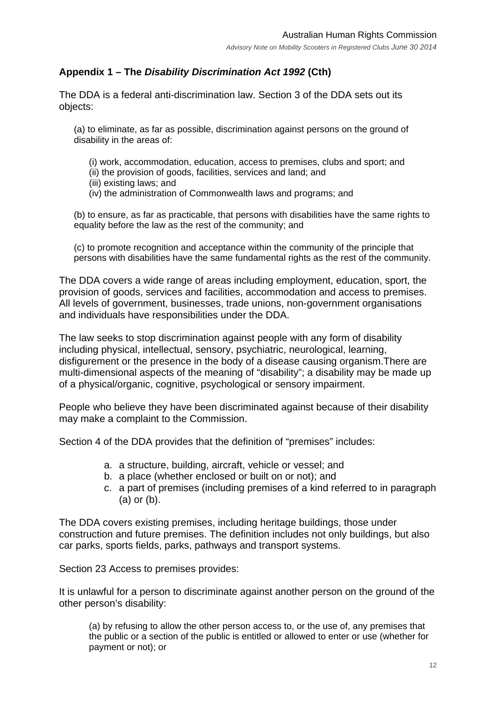### **Appendix 1 – The** *Disability Discrimination Act 1992* **(Cth)**

The DDA is a federal anti-discrimination law. Section 3 of the DDA sets out its objects:

(a) to eliminate, as far as possible, discrimination against persons on the ground of disability in the areas of:

- (i) work, accommodation, education, access to premises, clubs and sport; and
- (ii) the provision of goods, facilities, services and land; and
- (iii) existing laws; and
- (iv) the administration of Commonwealth laws and programs; and

(b) to ensure, as far as practicable, that persons with disabilities have the same rights to equality before the law as the rest of the community; and

(c) to promote recognition and acceptance within the community of the principle that persons with disabilities have the same fundamental rights as the rest of the community.

The DDA covers a wide range of areas including employment, education, sport, the provision of goods, services and facilities, accommodation and access to premises. All levels of government, businesses, trade unions, non-government organisations and individuals have responsibilities under the DDA.

The law seeks to stop discrimination against people with any form of disability including physical, intellectual, sensory, psychiatric, neurological, learning, disfigurement or the presence in the body of a disease causing organism.There are multi-dimensional aspects of the meaning of "disability"; a disability may be made up of a physical/organic, cognitive, psychological or sensory impairment.

People who believe they have been discriminated against because of their disability may make a complaint to the Commission.

Section 4 of the DDA provides that the definition of "premises" includes:

- a. a structure, building, aircraft, vehicle or vessel; and
- b. a place (whether enclosed or built on or not); and
- c. a part of premises (including premises of a kind referred to in paragraph (a) or (b).

The DDA covers existing premises, including heritage buildings, those under construction and future premises. The definition includes not only buildings, but also car parks, sports fields, parks, pathways and transport systems.

Section 23 Access to premises provides:

It is unlawful for a person to discriminate against another person on the ground of the other person's disability:

(a) by refusing to allow the other person access to, or the use of, any premises that the public or a section of the public is entitled or allowed to enter or use (whether for payment or not); or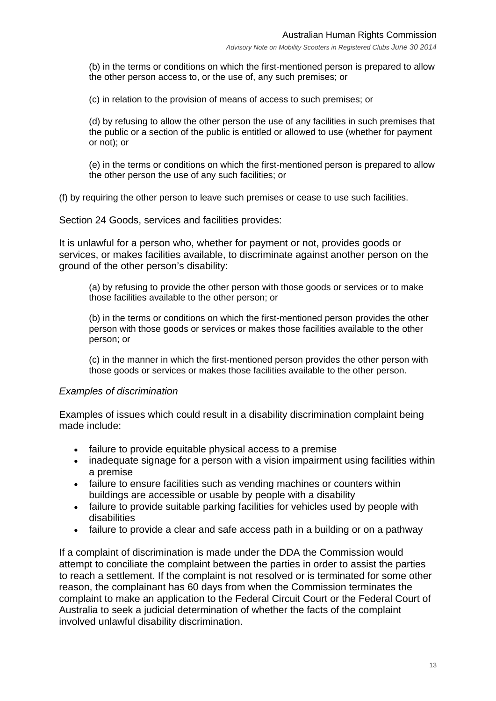(b) in the terms or conditions on which the first-mentioned person is prepared to allow the other person access to, or the use of, any such premises; or

(c) in relation to the provision of means of access to such premises; or

(d) by refusing to allow the other person the use of any facilities in such premises that the public or a section of the public is entitled or allowed to use (whether for payment or not); or

(e) in the terms or conditions on which the first-mentioned person is prepared to allow the other person the use of any such facilities; or

(f) by requiring the other person to leave such premises or cease to use such facilities.

Section 24 Goods, services and facilities provides:

It is unlawful for a person who, whether for payment or not, provides goods or services, or makes facilities available, to discriminate against another person on the ground of the other person's disability:

(a) by refusing to provide the other person with those goods or services or to make those facilities available to the other person; or

(b) in the terms or conditions on which the first-mentioned person provides the other person with those goods or services or makes those facilities available to the other person; or

(c) in the manner in which the first-mentioned person provides the other person with those goods or services or makes those facilities available to the other person.

#### *Examples of discrimination*

Examples of issues which could result in a disability discrimination complaint being made include:

- failure to provide equitable physical access to a premise
- inadequate signage for a person with a vision impairment using facilities within a premise
- failure to ensure facilities such as vending machines or counters within buildings are accessible or usable by people with a disability
- failure to provide suitable parking facilities for vehicles used by people with disabilities
- failure to provide a clear and safe access path in a building or on a pathway

If a complaint of discrimination is made under the DDA the Commission would attempt to conciliate the complaint between the parties in order to assist the parties to reach a settlement. If the complaint is not resolved or is terminated for some other reason, the complainant has 60 days from when the Commission terminates the complaint to make an application to the Federal Circuit Court or the Federal Court of Australia to seek a judicial determination of whether the facts of the complaint involved unlawful disability discrimination.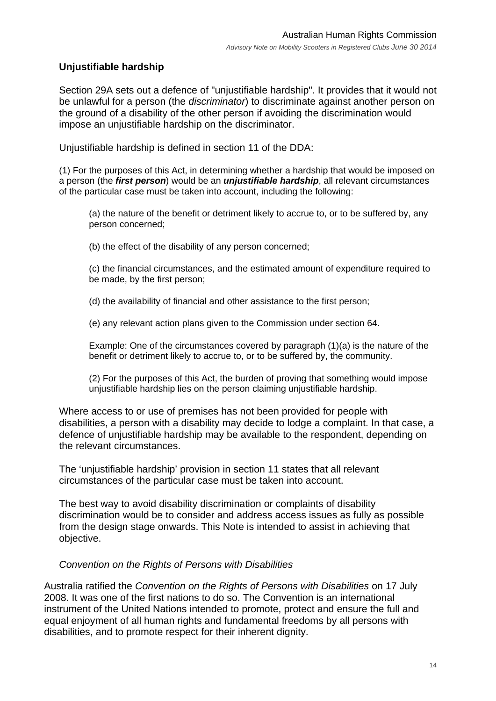### **Unjustifiable hardship**

Section 29A sets out a defence of "unjustifiable hardship". It provides that it would not be unlawful for a person (the *discriminator*) to discriminate against another person on the ground of a disability of the other person if avoiding the discrimination would impose an unjustifiable hardship on the discriminator.

Unjustifiable hardship is defined in section 11 of the DDA:

(1) For the purposes of this Act, in determining whether a hardship that would be imposed on a person (the *first person*) would be an *unjustifiable hardship*, all relevant circumstances of the particular case must be taken into account, including the following:

(a) the nature of the benefit or detriment likely to accrue to, or to be suffered by, any person concerned;

(b) the effect of the disability of any person concerned;

(c) the financial circumstances, and the estimated amount of expenditure required to be made, by the first person;

(d) the availability of financial and other assistance to the first person;

(e) any relevant action plans given to the Commission under section 64.

Example: One of the circumstances covered by paragraph (1)(a) is the nature of the benefit or detriment likely to accrue to, or to be suffered by, the community.

(2) For the purposes of this Act, the burden of proving that something would impose unjustifiable hardship lies on the person claiming unjustifiable hardship.

Where access to or use of premises has not been provided for people with disabilities, a person with a disability may decide to lodge a complaint. In that case, a defence of unjustifiable hardship may be available to the respondent, depending on the relevant circumstances.

The 'unjustifiable hardship' provision in section 11 states that all relevant circumstances of the particular case must be taken into account.

The best way to avoid disability discrimination or complaints of disability discrimination would be to consider and address access issues as fully as possible from the design stage onwards. This Note is intended to assist in achieving that objective.

#### *Convention on the Rights of Persons with Disabilities*

Australia ratified the *Convention on the Rights of Persons with Disabilities* on 17 July 2008. It was one of the first nations to do so. The Convention is an international instrument of the United Nations intended to promote, protect and ensure the full and equal enjoyment of all human rights and fundamental freedoms by all persons with disabilities, and to promote respect for their inherent dignity.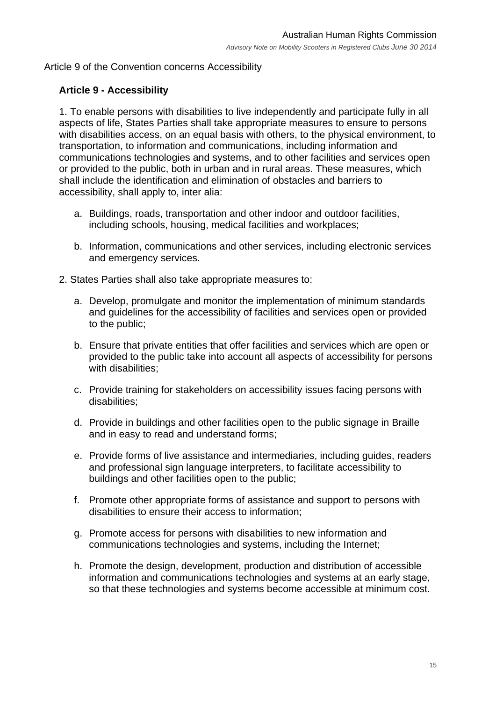Article 9 of the Convention concerns Accessibility

#### **Article 9 - Accessibility**

1. To enable persons with disabilities to live independently and participate fully in all aspects of life, States Parties shall take appropriate measures to ensure to persons with disabilities access, on an equal basis with others, to the physical environment, to transportation, to information and communications, including information and communications technologies and systems, and to other facilities and services open or provided to the public, both in urban and in rural areas. These measures, which shall include the identification and elimination of obstacles and barriers to accessibility, shall apply to, inter alia:

- a. Buildings, roads, transportation and other indoor and outdoor facilities, including schools, housing, medical facilities and workplaces;
- b. Information, communications and other services, including electronic services and emergency services.
- 2. States Parties shall also take appropriate measures to:
	- a. Develop, promulgate and monitor the implementation of minimum standards and guidelines for the accessibility of facilities and services open or provided to the public;
	- b. Ensure that private entities that offer facilities and services which are open or provided to the public take into account all aspects of accessibility for persons with disabilities;
	- c. Provide training for stakeholders on accessibility issues facing persons with disabilities;
	- d. Provide in buildings and other facilities open to the public signage in Braille and in easy to read and understand forms;
	- e. Provide forms of live assistance and intermediaries, including guides, readers and professional sign language interpreters, to facilitate accessibility to buildings and other facilities open to the public;
	- f. Promote other appropriate forms of assistance and support to persons with disabilities to ensure their access to information;
	- g. Promote access for persons with disabilities to new information and communications technologies and systems, including the Internet;
	- h. Promote the design, development, production and distribution of accessible information and communications technologies and systems at an early stage, so that these technologies and systems become accessible at minimum cost.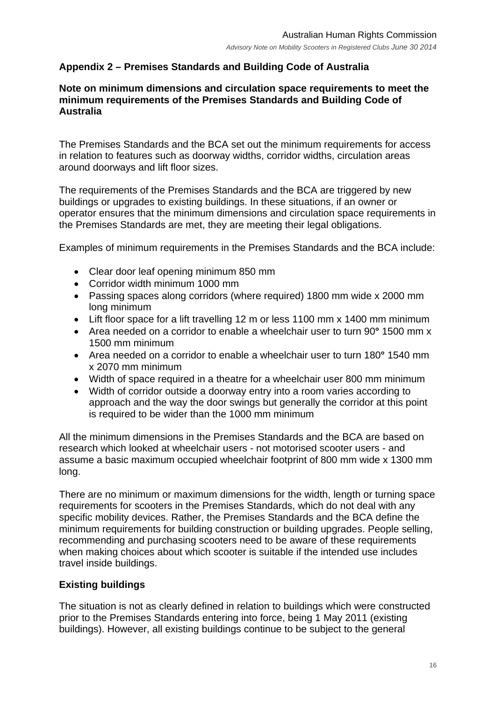### **Appendix 2 – Premises Standards and Building Code of Australia**

#### **Note on minimum dimensions and circulation space requirements to meet the minimum requirements of the Premises Standards and Building Code of Australia**

The Premises Standards and the BCA set out the minimum requirements for access in relation to features such as doorway widths, corridor widths, circulation areas around doorways and lift floor sizes.

The requirements of the Premises Standards and the BCA are triggered by new buildings or upgrades to existing buildings. In these situations, if an owner or operator ensures that the minimum dimensions and circulation space requirements in the Premises Standards are met, they are meeting their legal obligations.

Examples of minimum requirements in the Premises Standards and the BCA include:

- Clear door leaf opening minimum 850 mm
- Corridor width minimum 1000 mm
- Passing spaces along corridors (where required) 1800 mm wide x 2000 mm long minimum
- Lift floor space for a lift travelling 12 m or less 1100 mm x 1400 mm minimum
- Area needed on a corridor to enable a wheelchair user to turn 90**°** 1500 mm x 1500 mm minimum
- Area needed on a corridor to enable a wheelchair user to turn 180**°** 1540 mm x 2070 mm minimum
- Width of space required in a theatre for a wheelchair user 800 mm minimum
- Width of corridor outside a doorway entry into a room varies according to approach and the way the door swings but generally the corridor at this point is required to be wider than the 1000 mm minimum

All the minimum dimensions in the Premises Standards and the BCA are based on research which looked at wheelchair users - not motorised scooter users - and assume a basic maximum occupied wheelchair footprint of 800 mm wide x 1300 mm long.

There are no minimum or maximum dimensions for the width, length or turning space requirements for scooters in the Premises Standards, which do not deal with any specific mobility devices. Rather, the Premises Standards and the BCA define the minimum requirements for building construction or building upgrades. People selling, recommending and purchasing scooters need to be aware of these requirements when making choices about which scooter is suitable if the intended use includes travel inside buildings.

#### **Existing buildings**

The situation is not as clearly defined in relation to buildings which were constructed prior to the Premises Standards entering into force, being 1 May 2011 (existing buildings). However, all existing buildings continue to be subject to the general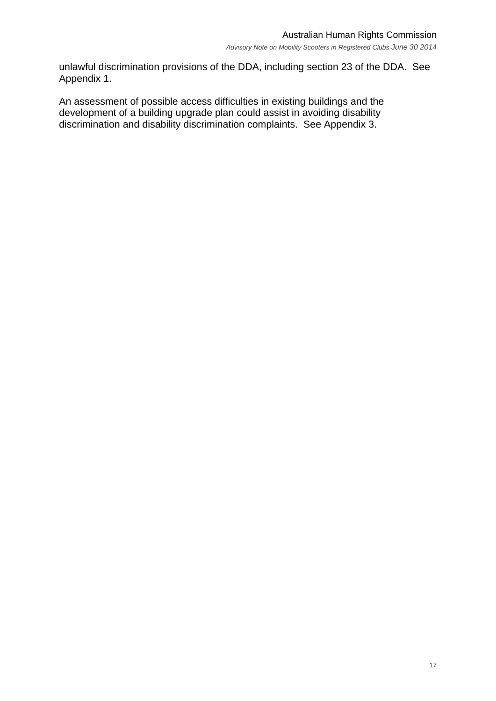unlawful discrimination provisions of the DDA, including section 23 of the DDA. See Appendix 1.

An assessment of possible access difficulties in existing buildings and the development of a building upgrade plan could assist in avoiding disability discrimination and disability discrimination complaints. See Appendix 3.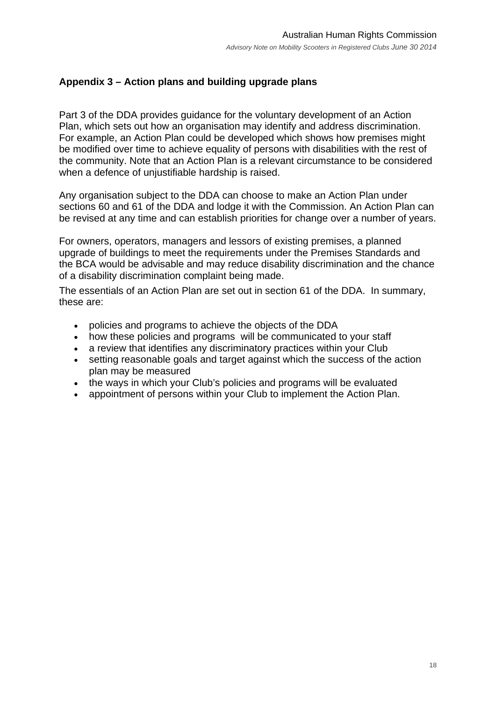## **Appendix 3 – Action plans and building upgrade plans**

Part 3 of the DDA provides guidance for the voluntary development of an Action Plan, which sets out how an organisation may identify and address discrimination. For example, an Action Plan could be developed which shows how premises might be modified over time to achieve equality of persons with disabilities with the rest of the community. Note that an Action Plan is a relevant circumstance to be considered when a defence of unjustifiable hardship is raised.

Any organisation subject to the DDA can choose to make an Action Plan under sections 60 and 61 of the DDA and lodge it with the Commission. An Action Plan can be revised at any time and can establish priorities for change over a number of years.

For owners, operators, managers and lessors of existing premises, a planned upgrade of buildings to meet the requirements under the Premises Standards and the BCA would be advisable and may reduce disability discrimination and the chance of a disability discrimination complaint being made.

The essentials of an Action Plan are set out in section 61 of the DDA. In summary, these are:

- policies and programs to achieve the objects of the DDA
- how these policies and programs will be communicated to your staff
- a review that identifies any discriminatory practices within your Club
- setting reasonable goals and target against which the success of the action plan may be measured
- the ways in which your Club's policies and programs will be evaluated
- appointment of persons within your Club to implement the Action Plan.